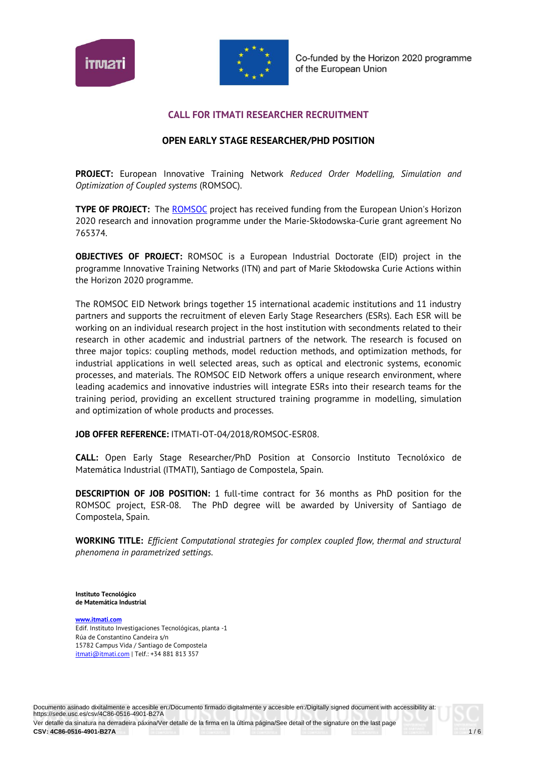



## **CALL FOR ITMATI RESEARCHER RECRUITMENT**

# **OPEN EARLY STAGE RESEARCHER/PHD POSITION**

**PROJECT:** European Innovative Training Network *Reduced Order Modelling, Simulation and Optimization of Coupled systems* (ROMSOC).

**TYPE OF PROJECT:** The ROMSOC project has received funding from the European Union's Horizon 2020 research and innovation programme under the Marie-Skłodowska-Curie grant agreement No 765374.

**OBJECTIVES OF PROJECT:** ROMSOC is a European Industrial Doctorate (EID) project in the programme Innovative Training Networks (ITN) and part of Marie Skłodowska Curie Actions within the Horizon 2020 programme.

The ROMSOC EID Network brings together 15 international academic institutions and 11 industry partners and supports the recruitment of eleven Early Stage Researchers (ESRs). Each ESR will be working on an individual research project in the host institution with secondments related to their research in other academic and industrial partners of the network. The research is focused on three major topics: coupling methods, model reduction methods, and optimization methods, for industrial applications in well selected areas, such as optical and electronic systems, economic processes, and materials. The ROMSOC EID Network offers a unique research environment, where leading academics and innovative industries will integrate ESRs into their research teams for the training period, providing an excellent structured training programme in modelling, simulation and optimization of whole products and processes.

**JOB OFFER REFERENCE:** ITMATI-OT-04/2018/ROMSOC-ESR08.

**CALL:** Open Early Stage Researcher/PhD Position at Consorcio Instituto Tecnolóxico de Matemática Industrial (ITMATI), Santiago de Compostela, Spain.

**DESCRIPTION OF JOB POSITION:** 1 full-time contract for 36 months as PhD position for the ROMSOC project, ESR-08. The PhD degree will be awarded by University of Santiago de Compostela, Spain.

**WORKING TITLE:** *Efficient Computational strategies for complex coupled flow, thermal and structural phenomena in parametrized settings.*

**Instituto Tecnológico de Matemática Industrial**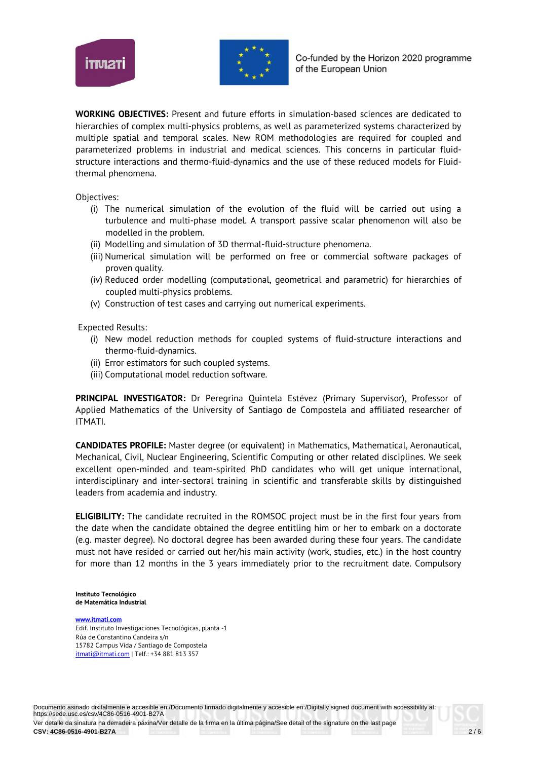



**WORKING OBJECTIVES:** Present and future efforts in simulation-based sciences are dedicated to hierarchies of complex multi-physics problems, as well as parameterized systems characterized by multiple spatial and temporal scales. New ROM methodologies are required for coupled and parameterized problems in industrial and medical sciences. This concerns in particular fluidstructure interactions and thermo-fluid-dynamics and the use of these reduced models for Fluidthermal phenomena.

Objectives:

- (i) The numerical simulation of the evolution of the fluid will be carried out using a turbulence and multi-phase model. A transport passive scalar phenomenon will also be modelled in the problem.
- (ii) Modelling and simulation of 3D thermal-fluid-structure phenomena.
- (iii) Numerical simulation will be performed on free or commercial software packages of proven quality.
- (iv) Reduced order modelling (computational, geometrical and parametric) for hierarchies of coupled multi-physics problems.
- (v) Construction of test cases and carrying out numerical experiments.

Expected Results:

- (i) New model reduction methods for coupled systems of fluid-structure interactions and thermo-fluid-dynamics.
- (ii) Error estimators for such coupled systems.
- (iii) Computational model reduction software.

**PRINCIPAL INVESTIGATOR:** Dr Peregrina Quintela Estévez (Primary Supervisor), Professor of Applied Mathematics of the University of Santiago de Compostela and affiliated researcher of ITMATI.

**CANDIDATES PROFILE:** Master degree (or equivalent) in Mathematics, Mathematical, Aeronautical, Mechanical, Civil, Nuclear Engineering, Scientific Computing or other related disciplines. We seek excellent open-minded and team-spirited PhD candidates who will get unique international, interdisciplinary and inter-sectoral training in scientific and transferable skills by distinguished leaders from academia and industry.

**ELIGIBILITY:** The candidate recruited in the ROMSOC project must be in the first four years from the date when the candidate obtained the degree entitling him or her to embark on a doctorate (e.g. master degree). No doctoral degree has been awarded during these four years. The candidate must not have resided or carried out her/his main activity (work, studies, etc.) in the host country for more than 12 months in the 3 years immediately prior to the recruitment date. Compulsory

**Instituto Tecnológico de Matemática Industrial**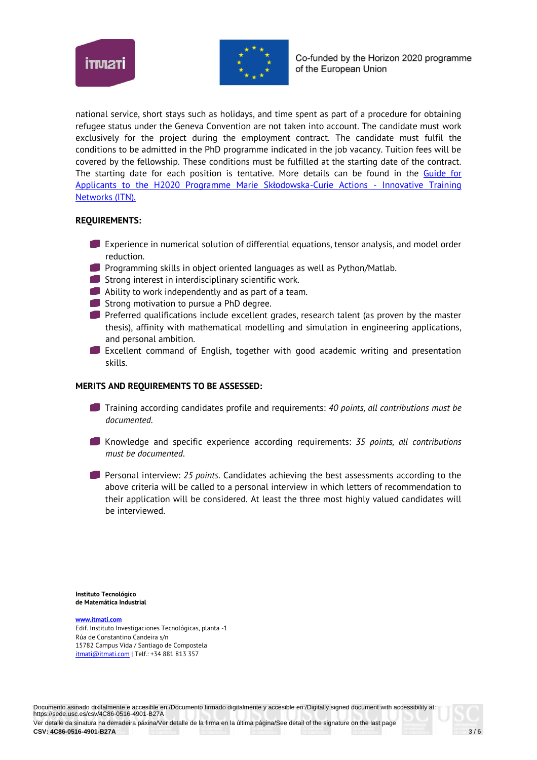



national service, short stays such as holidays, and time spent as part of a procedure for obtaining refugee status under the Geneva Convention are not taken into account. The candidate must work exclusively for the project during the employment contract. The candidate must fulfil the conditions to be admitted in the PhD programme indicated in the job vacancy. Tuition fees will be covered by the fellowship. These conditions must be fulfilled at the starting date of the contract. The starting date for each position is tentative. More details can be found in the Guide for Applicants to the H2020 Programme Marie Skłodowska-Curie Actions - Innovative Training Networks (ITN).

## **REQUIREMENTS:**

- Experience in numerical solution of differential equations, tensor analysis, and model order reduction.
- **Programming skills in object oriented languages as well as Python/Matlab.**
- **Strong interest in interdisciplinary scientific work.**
- Ability to work independently and as part of a team.
- Strong motivation to pursue a PhD degree.
- **Preferred qualifications include excellent grades, research talent (as proven by the master** thesis), affinity with mathematical modelling and simulation in engineering applications, and personal ambition.
- Excellent command of English, together with good academic writing and presentation skills.

## **MERITS AND REQUIREMENTS TO BE ASSESSED:**

- Training according candidates profile and requirements: *40 points, all contributions must be documented.*
- Knowledge and specific experience according requirements: *35 points, all contributions must be documented*.
- Personal interview: *25 points*. Candidates achieving the best assessments according to the above criteria will be called to a personal interview in which letters of recommendation to their application will be considered. At least the three most highly valued candidates will be interviewed.

**Instituto Tecnológico de Matemática Industrial**

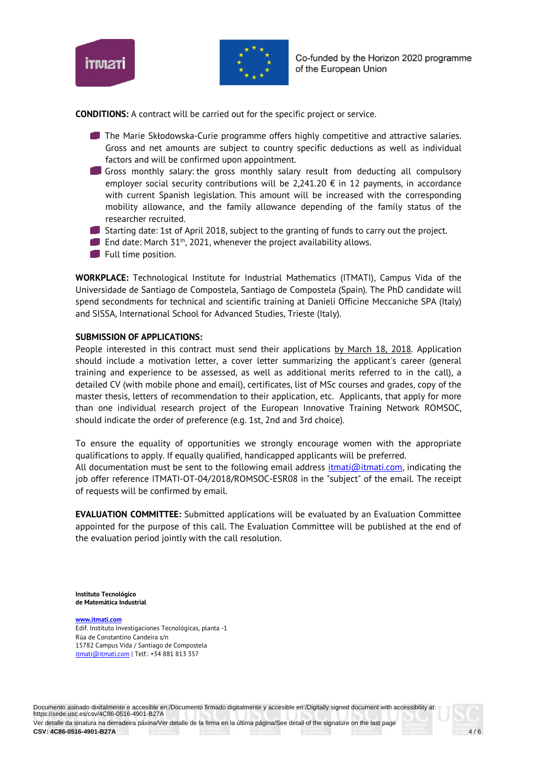



**CONDITIONS:** A contract will be carried out for the specific project or service.

- **The Marie Skłodowska-Curie programme offers highly competitive and attractive salaries.** Gross and net amounts are subject to country specific deductions as well as individual factors and will be confirmed upon appointment.
- IJ Gross monthly salary: the gross monthly salary result from deducting all compulsory employer social security contributions will be 2,241.20  $\epsilon$  in 12 payments, in accordance with current Spanish legislation. This amount will be increased with the corresponding mobility allowance, and the family allowance depending of the family status of the researcher recruited.
- Starting date: 1st of April 2018, subject to the granting of funds to carry out the project.
- End date: March  $51<sup>th</sup>$ , 2021, whenever the project availability allows.
- **Full time position.**

**WORKPLACE:** Technological Institute for Industrial Mathematics (ITMATI), Campus Vida of the Universidade de Santiago de Compostela, Santiago de Compostela (Spain). The PhD candidate will spend secondments for technical and scientific training at Danieli Officine Meccaniche SPA (Italy) and SISSA, International School for Advanced Studies, Trieste (Italy).

## **SUBMISSION OF APPLICATIONS:**

People interested in this contract must send their applications by March 18, 2018. Application should include a motivation letter, a cover letter summarizing the applicant's career (general training and experience to be assessed, as well as additional merits referred to in the call), a detailed CV (with mobile phone and email), certificates, list of MSc courses and grades, copy of the master thesis, letters of recommendation to their application, etc. Applicants, that apply for more than one individual research project of the European Innovative Training Network ROMSOC, should indicate the order of preference (e.g. 1st, 2nd and 3rd choice).

To ensure the equality of opportunities we strongly encourage women with the appropriate qualifications to apply. If equally qualified, handicapped applicants will be preferred.

All documentation must be sent to the following email address  $\frac{ifmatic/limit}{if{math>limit}}$  indicating the job offer reference ITMATI-OT-04/2018/ROMSOC-ESR08 in the "subject" of the email. The receipt of requests will be confirmed by email.

**EVALUATION COMMITTEE:** Submitted applications will be evaluated by an Evaluation Committee appointed for the purpose of this call. The Evaluation Committee will be published at the end of the evaluation period jointly with the call resolution.

**Instituto Tecnológico de Matemática Industrial**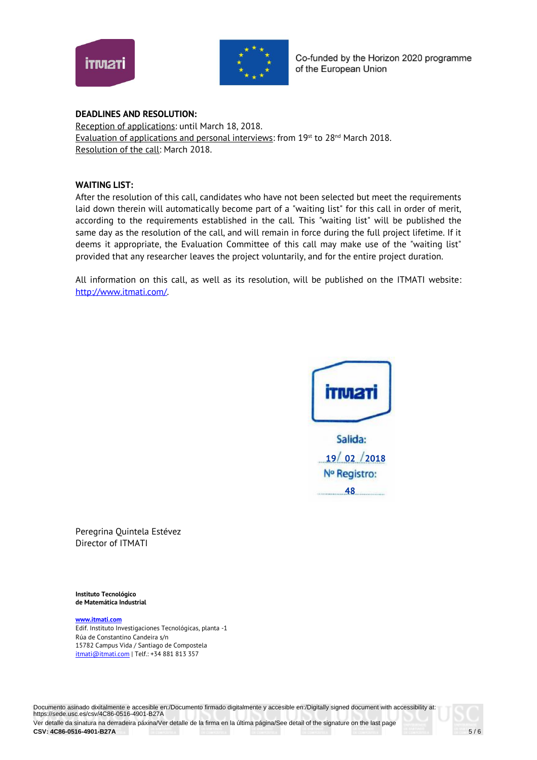



Co-funded by the Horizon 2020 programme of the European Union

#### **DEADLINES AND RESOLUTION:**

Reception of applications: until March 18, 2018. Evaluation of applications and personal interviews: from 19<sup>st</sup> to 28<sup>nd</sup> March 2018. Resolution of the call: March 2018.

#### **WAITING LIST:**

After the resolution of this call, candidates who have not been selected but meet the requirements laid down therein will automatically become part of a "waiting list" for this call in order of merit, according to the requirements established in the call. This "waiting list" will be published the same day as the resolution of the call, and will remain in force during the full project lifetime. If it deems it appropriate, the Evaluation Committee of this call may make use of the "waiting list" provided that any researcher leaves the project voluntarily, and for the entire project duration.

All information on this call, as well as its resolution, will be published on the ITMATI website: http://www.itmati.com/.



Peregrina Quintela Estévez Director of ITMATI

**Instituto Tecnológico de Matemática Industrial**

**www.itmati.com** Edif. Instituto Investigaciones Tecnológicas, planta -1 Rúa de Constantino Candeira s/n 15782 Campus Vida / Santiago de Compostela itmati@itmati.com | Telf.: +34 881 813 357

Documento asinado dixitalmente e accesible en:/Documento firmado digitalmente y accesible en:/Digitally signed document with accessibility at: https://sede.usc.es/csv/4C86-0516-4901-B27A Ver detalle da sinatura na derradeira páxina/Ver detalle de la firma en la última página/See detail of the signature on the last page CSV: 4C86-0516-4901-B27A